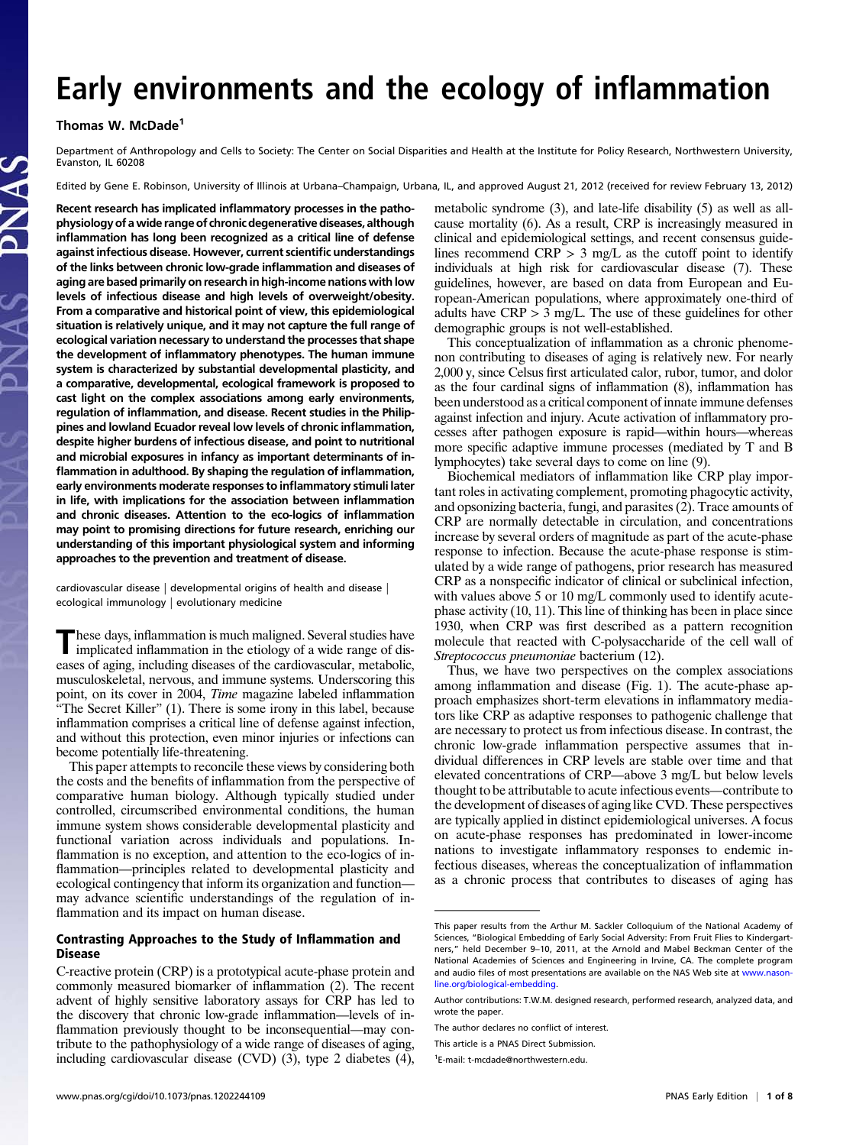# Early environments and the ecology of inflammation

## Thomas W. McDade<sup>1</sup>

Department of Anthropology and Cells to Society: The Center on Social Disparities and Health at the Institute for Policy Research, Northwestern University, Evanston, IL 60208

Edited by Gene E. Robinson, University of Illinois at Urbana–Champaign, Urbana, IL, and approved August 21, 2012 (received for review February 13, 2012)

Recent research has implicated inflammatory processes in the pathophysiology of awide range of chronic degenerative diseases, although inflammation has long been recognized as a critical line of defense against infectious disease. However, current scientific understandings of the links between chronic low-grade inflammation and diseases of aging are based primarily on research in high-income nations with low levels of infectious disease and high levels of overweight/obesity. From a comparative and historical point of view, this epidemiological situation is relatively unique, and it may not capture the full range of ecological variation necessary to understand the processes that shape the development of inflammatory phenotypes. The human immune system is characterized by substantial developmental plasticity, and a comparative, developmental, ecological framework is proposed to cast light on the complex associations among early environments, regulation of inflammation, and disease. Recent studies in the Philippines and lowland Ecuador reveal low levels of chronic inflammation, despite higher burdens of infectious disease, and point to nutritional and microbial exposures in infancy as important determinants of inflammation in adulthood. By shaping the regulation of inflammation, early environments moderate responses to inflammatory stimuli later in life, with implications for the association between inflammation and chronic diseases. Attention to the eco-logics of inflammation may point to promising directions for future research, enriching our understanding of this important physiological system and informing approaches to the prevention and treatment of disease.

cardiovascular disease | developmental origins of health and disease | ecological immunology | evolutionary medicine

These days, inflammation is much maligned. Several studies have implicated inflammation in the etiology of a wide range of diseases of aging, including diseases of the cardiovascular, metabolic, musculoskeletal, nervous, and immune systems. Underscoring this point, on its cover in 2004, Time magazine labeled inflammation "The Secret Killer" (1). There is some irony in this label, because inflammation comprises a critical line of defense against infection, and without this protection, even minor injuries or infections can become potentially life-threatening.

This paper attempts to reconcile these views by considering both the costs and the benefits of inflammation from the perspective of comparative human biology. Although typically studied under controlled, circumscribed environmental conditions, the human immune system shows considerable developmental plasticity and functional variation across individuals and populations. Inflammation is no exception, and attention to the eco-logics of inflammation—principles related to developmental plasticity and ecological contingency that inform its organization and function may advance scientific understandings of the regulation of inflammation and its impact on human disease.

## Contrasting Approaches to the Study of Inflammation and Disease

metabolic syndrome (3), and late-life disability (5) as well as allcause mortality (6). As a result, CRP is increasingly measured in clinical and epidemiological settings, and recent consensus guidelines recommend  $CRP > 3$  mg/L as the cutoff point to identify individuals at high risk for cardiovascular disease (7). These guidelines, however, are based on data from European and European-American populations, where approximately one-third of adults have CRP > 3 mg/L. The use of these guidelines for other demographic groups is not well-established.

This conceptualization of inflammation as a chronic phenomenon contributing to diseases of aging is relatively new. For nearly 2,000 y, since Celsus first articulated calor, rubor, tumor, and dolor as the four cardinal signs of inflammation (8), inflammation has been understood as a critical component of innate immune defenses against infection and injury. Acute activation of inflammatory processes after pathogen exposure is rapid—within hours—whereas more specific adaptive immune processes (mediated by T and B lymphocytes) take several days to come on line (9).

Biochemical mediators of inflammation like CRP play important roles in activating complement, promoting phagocytic activity, and opsonizing bacteria, fungi, and parasites (2). Trace amounts of CRP are normally detectable in circulation, and concentrations increase by several orders of magnitude as part of the acute-phase response to infection. Because the acute-phase response is stimulated by a wide range of pathogens, prior research has measured CRP as a nonspecific indicator of clinical or subclinical infection, with values above 5 or 10 mg/L commonly used to identify acutephase activity (10, 11). This line of thinking has been in place since 1930, when CRP was first described as a pattern recognition molecule that reacted with C-polysaccharide of the cell wall of Streptococcus pneumoniae bacterium (12).

Thus, we have two perspectives on the complex associations among inflammation and disease (Fig. 1). The acute-phase approach emphasizes short-term elevations in inflammatory mediators like CRP as adaptive responses to pathogenic challenge that are necessary to protect us from infectious disease. In contrast, the chronic low-grade inflammation perspective assumes that individual differences in CRP levels are stable over time and that elevated concentrations of CRP—above 3 mg/L but below levels thought to be attributable to acute infectious events—contribute to the development of diseases of aging like CVD. These perspectives are typically applied in distinct epidemiological universes. A focus on acute-phase responses has predominated in lower-income nations to investigate inflammatory responses to endemic infectious diseases, whereas the conceptualization of inflammation as a chronic process that contributes to diseases of aging has

C-reactive protein (CRP) is a prototypical acute-phase protein and commonly measured biomarker of inflammation (2). The recent advent of highly sensitive laboratory assays for CRP has led to the discovery that chronic low-grade inflammation—levels of inflammation previously thought to be inconsequential—may contribute to the pathophysiology of a wide range of diseases of aging, including cardiovascular disease (CVD) (3), type 2 diabetes (4),

This paper results from the Arthur M. Sackler Colloquium of the National Academy of Sciences, "Biological Embedding of Early Social Adversity: From Fruit Flies to Kindergartners," held December 9–10, 2011, at the Arnold and Mabel Beckman Center of the National Academies of Sciences and Engineering in Irvine, CA. The complete program and audio files of most presentations are available on the NAS Web site at [www.nason](http://www.nasonline.org/biological-embedding)[line.org/biological-embedding](http://www.nasonline.org/biological-embedding).

Author contributions: T.W.M. designed research, performed research, analyzed data, and wrote the paper.

The author declares no conflict of interest.

This article is a PNAS Direct Submission.

<sup>1</sup> E-mail: [t-mcdade@northwestern.edu](mailto:t-mcdade@northwestern.edu).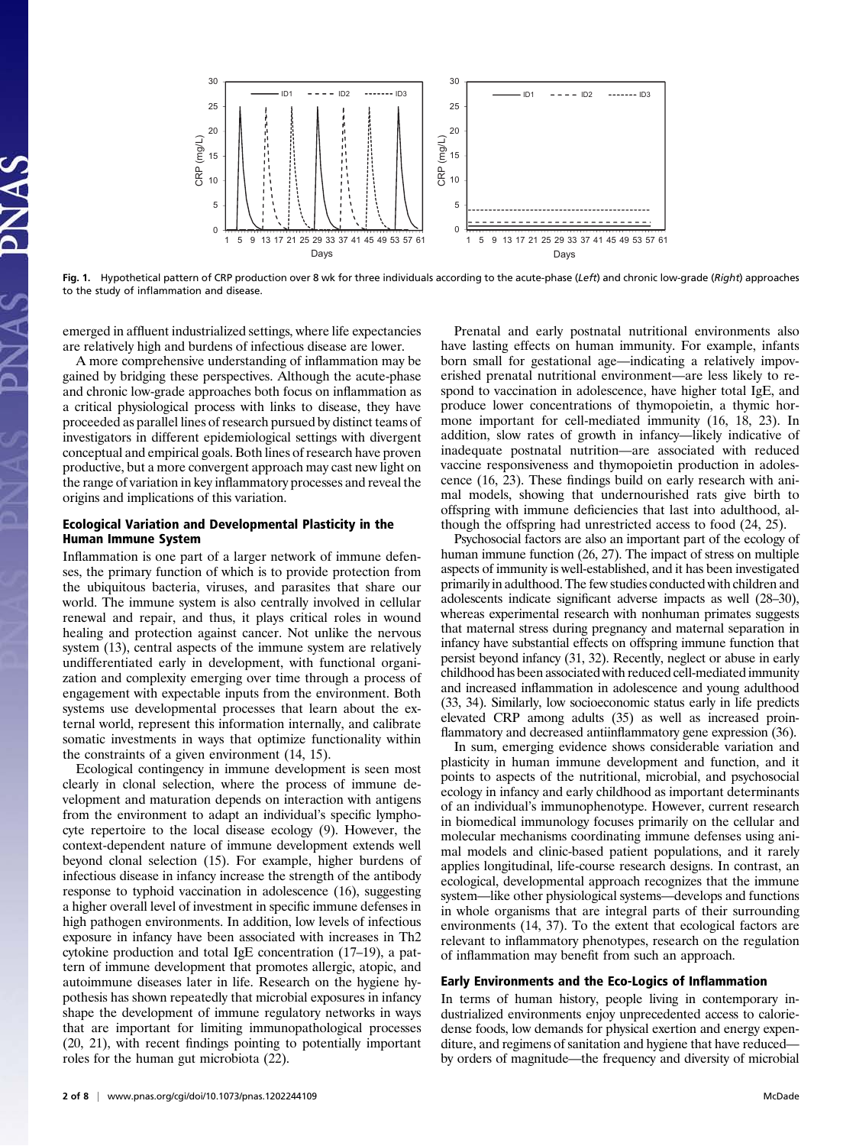

Fig. 1. Hypothetical pattern of CRP production over 8 wk for three individuals according to the acute-phase (Left) and chronic low-grade (Right) approaches to the study of inflammation and disease.

emerged in affluent industrialized settings, where life expectancies are relatively high and burdens of infectious disease are lower.

A more comprehensive understanding of inflammation may be gained by bridging these perspectives. Although the acute-phase and chronic low-grade approaches both focus on inflammation as a critical physiological process with links to disease, they have proceeded as parallel lines of research pursued by distinct teams of investigators in different epidemiological settings with divergent conceptual and empirical goals. Both lines of research have proven productive, but a more convergent approach may cast new light on the range of variation in key inflammatory processes and reveal the origins and implications of this variation.

## Ecological Variation and Developmental Plasticity in the Human Immune System

Inflammation is one part of a larger network of immune defenses, the primary function of which is to provide protection from the ubiquitous bacteria, viruses, and parasites that share our world. The immune system is also centrally involved in cellular renewal and repair, and thus, it plays critical roles in wound healing and protection against cancer. Not unlike the nervous system (13), central aspects of the immune system are relatively undifferentiated early in development, with functional organization and complexity emerging over time through a process of engagement with expectable inputs from the environment. Both systems use developmental processes that learn about the external world, represent this information internally, and calibrate somatic investments in ways that optimize functionality within the constraints of a given environment (14, 15).

Ecological contingency in immune development is seen most clearly in clonal selection, where the process of immune development and maturation depends on interaction with antigens from the environment to adapt an individual's specific lymphocyte repertoire to the local disease ecology (9). However, the context-dependent nature of immune development extends well beyond clonal selection (15). For example, higher burdens of infectious disease in infancy increase the strength of the antibody response to typhoid vaccination in adolescence (16), suggesting a higher overall level of investment in specific immune defenses in high pathogen environments. In addition, low levels of infectious exposure in infancy have been associated with increases in Th2 cytokine production and total IgE concentration (17–19), a pattern of immune development that promotes allergic, atopic, and autoimmune diseases later in life. Research on the hygiene hypothesis has shown repeatedly that microbial exposures in infancy shape the development of immune regulatory networks in ways that are important for limiting immunopathological processes (20, 21), with recent findings pointing to potentially important roles for the human gut microbiota (22).

Prenatal and early postnatal nutritional environments also have lasting effects on human immunity. For example, infants born small for gestational age—indicating a relatively impoverished prenatal nutritional environment—are less likely to respond to vaccination in adolescence, have higher total IgE, and produce lower concentrations of thymopoietin, a thymic hormone important for cell-mediated immunity (16, 18, 23). In addition, slow rates of growth in infancy—likely indicative of inadequate postnatal nutrition—are associated with reduced vaccine responsiveness and thymopoietin production in adolescence (16, 23). These findings build on early research with animal models, showing that undernourished rats give birth to offspring with immune deficiencies that last into adulthood, although the offspring had unrestricted access to food (24, 25).

Psychosocial factors are also an important part of the ecology of human immune function (26, 27). The impact of stress on multiple aspects of immunity is well-established, and it has been investigated primarily in adulthood. The few studies conducted with children and adolescents indicate significant adverse impacts as well (28–30), whereas experimental research with nonhuman primates suggests that maternal stress during pregnancy and maternal separation in infancy have substantial effects on offspring immune function that persist beyond infancy (31, 32). Recently, neglect or abuse in early childhood has been associated with reduced cell-mediated immunity and increased inflammation in adolescence and young adulthood (33, 34). Similarly, low socioeconomic status early in life predicts elevated CRP among adults (35) as well as increased proinflammatory and decreased antiinflammatory gene expression (36).

In sum, emerging evidence shows considerable variation and plasticity in human immune development and function, and it points to aspects of the nutritional, microbial, and psychosocial ecology in infancy and early childhood as important determinants of an individual's immunophenotype. However, current research in biomedical immunology focuses primarily on the cellular and molecular mechanisms coordinating immune defenses using animal models and clinic-based patient populations, and it rarely applies longitudinal, life-course research designs. In contrast, an ecological, developmental approach recognizes that the immune system—like other physiological systems—develops and functions in whole organisms that are integral parts of their surrounding environments (14, 37). To the extent that ecological factors are relevant to inflammatory phenotypes, research on the regulation of inflammation may benefit from such an approach.

#### Early Environments and the Eco-Logics of Inflammation

In terms of human history, people living in contemporary industrialized environments enjoy unprecedented access to caloriedense foods, low demands for physical exertion and energy expenditure, and regimens of sanitation and hygiene that have reduced by orders of magnitude—the frequency and diversity of microbial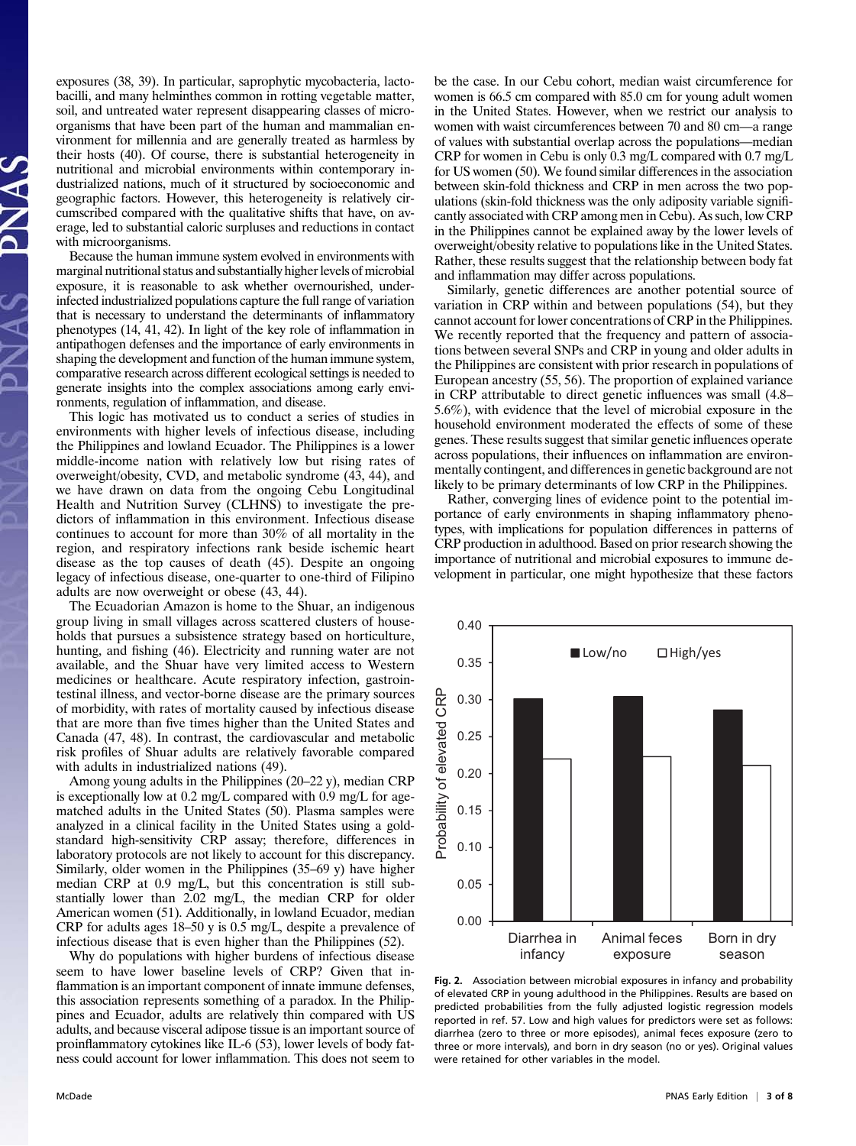exposures (38, 39). In particular, saprophytic mycobacteria, lactobacilli, and many helminthes common in rotting vegetable matter, soil, and untreated water represent disappearing classes of microorganisms that have been part of the human and mammalian environment for millennia and are generally treated as harmless by their hosts (40). Of course, there is substantial heterogeneity in nutritional and microbial environments within contemporary industrialized nations, much of it structured by socioeconomic and geographic factors. However, this heterogeneity is relatively circumscribed compared with the qualitative shifts that have, on average, led to substantial caloric surpluses and reductions in contact with microorganisms.

Because the human immune system evolved in environments with marginal nutritional status and substantially higher levels of microbial exposure, it is reasonable to ask whether overnourished, underinfected industrialized populations capture the full range of variation that is necessary to understand the determinants of inflammatory phenotypes (14, 41, 42). In light of the key role of inflammation in antipathogen defenses and the importance of early environments in shaping the development and function of the human immune system, comparative research across different ecological settings is needed to generate insights into the complex associations among early environments, regulation of inflammation, and disease.

This logic has motivated us to conduct a series of studies in environments with higher levels of infectious disease, including the Philippines and lowland Ecuador. The Philippines is a lower middle-income nation with relatively low but rising rates of overweight/obesity, CVD, and metabolic syndrome (43, 44), and we have drawn on data from the ongoing Cebu Longitudinal Health and Nutrition Survey (CLHNS) to investigate the predictors of inflammation in this environment. Infectious disease continues to account for more than 30% of all mortality in the region, and respiratory infections rank beside ischemic heart disease as the top causes of death (45). Despite an ongoing legacy of infectious disease, one-quarter to one-third of Filipino adults are now overweight or obese (43, 44).

The Ecuadorian Amazon is home to the Shuar, an indigenous group living in small villages across scattered clusters of households that pursues a subsistence strategy based on horticulture, hunting, and fishing (46). Electricity and running water are not available, and the Shuar have very limited access to Western medicines or healthcare. Acute respiratory infection, gastrointestinal illness, and vector-borne disease are the primary sources of morbidity, with rates of mortality caused by infectious disease that are more than five times higher than the United States and Canada (47, 48). In contrast, the cardiovascular and metabolic risk profiles of Shuar adults are relatively favorable compared with adults in industrialized nations (49).

Among young adults in the Philippines (20–22 y), median CRP is exceptionally low at 0.2 mg/L compared with 0.9 mg/L for agematched adults in the United States (50). Plasma samples were analyzed in a clinical facility in the United States using a goldstandard high-sensitivity CRP assay; therefore, differences in laboratory protocols are not likely to account for this discrepancy. Similarly, older women in the Philippines (35–69 y) have higher median CRP at 0.9 mg/L, but this concentration is still substantially lower than 2.02 mg/L, the median CRP for older American women (51). Additionally, in lowland Ecuador, median CRP for adults ages 18–50 y is 0.5 mg/L, despite a prevalence of infectious disease that is even higher than the Philippines (52).

Why do populations with higher burdens of infectious disease seem to have lower baseline levels of CRP? Given that inflammation is an important component of innate immune defenses, this association represents something of a paradox. In the Philippines and Ecuador, adults are relatively thin compared with US adults, and because visceral adipose tissue is an important source of proinflammatory cytokines like IL-6 (53), lower levels of body fatness could account for lower inflammation. This does not seem to

be the case. In our Cebu cohort, median waist circumference for women is 66.5 cm compared with 85.0 cm for young adult women in the United States. However, when we restrict our analysis to women with waist circumferences between 70 and 80 cm—a range of values with substantial overlap across the populations—median CRP for women in Cebu is only 0.3 mg/L compared with 0.7 mg/L for US women (50). We found similar differences in the association between skin-fold thickness and CRP in men across the two populations (skin-fold thickness was the only adiposity variable significantly associated with CRP among men in Cebu). As such, low CRP in the Philippines cannot be explained away by the lower levels of overweight/obesity relative to populations like in the United States. Rather, these results suggest that the relationship between body fat and inflammation may differ across populations.

Similarly, genetic differences are another potential source of variation in CRP within and between populations (54), but they cannot account for lower concentrations of CRP in the Philippines. We recently reported that the frequency and pattern of associations between several SNPs and CRP in young and older adults in the Philippines are consistent with prior research in populations of European ancestry (55, 56). The proportion of explained variance in CRP attributable to direct genetic influences was small (4.8– 5.6%), with evidence that the level of microbial exposure in the household environment moderated the effects of some of these genes. These results suggest that similar genetic influences operate across populations, their influences on inflammation are environmentally contingent, and differences in genetic background are not likely to be primary determinants of low CRP in the Philippines.

Rather, converging lines of evidence point to the potential importance of early environments in shaping inflammatory phenotypes, with implications for population differences in patterns of CRP production in adulthood. Based on prior research showing the importance of nutritional and microbial exposures to immune development in particular, one might hypothesize that these factors



Fig. 2. Association between microbial exposures in infancy and probability of elevated CRP in young adulthood in the Philippines. Results are based on predicted probabilities from the fully adjusted logistic regression models reported in ref. 57. Low and high values for predictors were set as follows: diarrhea (zero to three or more episodes), animal feces exposure (zero to three or more intervals), and born in dry season (no or yes). Original values were retained for other variables in the model.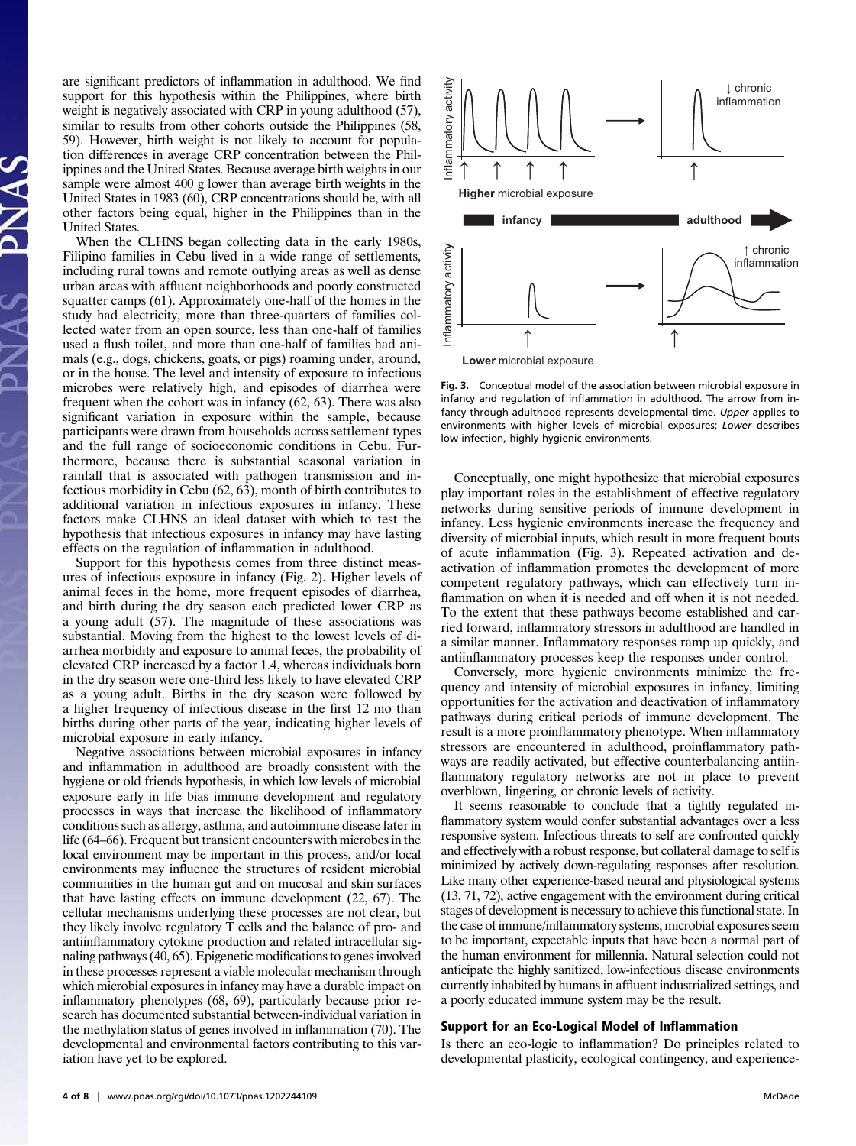are significant predictors of inflammation in adulthood. We find support for this hypothesis within the Philippines, where birth weight is negatively associated with CRP in young adulthood (57), similar to results from other cohorts outside the Philippines (58, 59). However, birth weight is not likely to account for population differences in average CRP concentration between the Philippines and the United States. Because average birth weights in our sample were almost 400 g lower than average birth weights in the United States in 1983 (60), CRP concentrations should be, with all other factors being equal, higher in the Philippines than in the United States.

When the CLHNS began collecting data in the early 1980s, Filipino families in Cebu lived in a wide range of settlements, including rural towns and remote outlying areas as well as dense urban areas with affluent neighborhoods and poorly constructed squatter camps (61). Approximately one-half of the homes in the study had electricity, more than three-quarters of families collected water from an open source, less than one-half of families used a flush toilet, and more than one-half of families had animals (e.g., dogs, chickens, goats, or pigs) roaming under, around, or in the house. The level and intensity of exposure to infectious microbes were relatively high, and episodes of diarrhea were frequent when the cohort was in infancy (62, 63). There was also significant variation in exposure within the sample, because participants were drawn from households across settlement types and the full range of socioeconomic conditions in Cebu. Furthermore, because there is substantial seasonal variation in rainfall that is associated with pathogen transmission and infectious morbidity in Cebu (62, 63), month of birth contributes to additional variation in infectious exposures in infancy. These factors make CLHNS an ideal dataset with which to test the hypothesis that infectious exposures in infancy may have lasting effects on the regulation of inflammation in adulthood.

Support for this hypothesis comes from three distinct measures of infectious exposure in infancy (Fig. 2). Higher levels of animal feces in the home, more frequent episodes of diarrhea, and birth during the dry season each predicted lower CRP as a young adult (57). The magnitude of these associations was substantial. Moving from the highest to the lowest levels of diarrhea morbidity and exposure to animal feces, the probability of elevated CRP increased by a factor 1.4, whereas individuals born in the dry season were one-third less likely to have elevated CRP as a young adult. Births in the dry season were followed by a higher frequency of infectious disease in the first 12 mo than births during other parts of the year, indicating higher levels of microbial exposure in early infancy.

Negative associations between microbial exposures in infancy and inflammation in adulthood are broadly consistent with the hygiene or old friends hypothesis, in which low levels of microbial exposure early in life bias immune development and regulatory processes in ways that increase the likelihood of inflammatory conditions such as allergy, asthma, and autoimmune disease later in life (64–66). Frequent but transient encounters with microbes in the local environment may be important in this process, and/or local environments may influence the structures of resident microbial communities in the human gut and on mucosal and skin surfaces that have lasting effects on immune development (22, 67). The cellular mechanisms underlying these processes are not clear, but they likely involve regulatory T cells and the balance of pro- and antiinflammatory cytokine production and related intracellular signaling pathways (40, 65). Epigenetic modifications to genes involved in these processes represent a viable molecular mechanism through which microbial exposures in infancy may have a durable impact on inflammatory phenotypes (68, 69), particularly because prior research has documented substantial between-individual variation in the methylation status of genes involved in inflammation (70). The developmental and environmental factors contributing to this variation have yet to be explored.



Fig. 3. Conceptual model of the association between microbial exposure in infancy and regulation of inflammation in adulthood. The arrow from infancy through adulthood represents developmental time. Upper applies to environments with higher levels of microbial exposures; Lower describes low-infection, highly hygienic environments.

Conceptually, one might hypothesize that microbial exposures play important roles in the establishment of effective regulatory networks during sensitive periods of immune development in infancy. Less hygienic environments increase the frequency and diversity of microbial inputs, which result in more frequent bouts of acute inflammation (Fig. 3). Repeated activation and deactivation of inflammation promotes the development of more competent regulatory pathways, which can effectively turn inflammation on when it is needed and off when it is not needed. To the extent that these pathways become established and carried forward, inflammatory stressors in adulthood are handled in a similar manner. Inflammatory responses ramp up quickly, and antiinflammatory processes keep the responses under control.

Conversely, more hygienic environments minimize the frequency and intensity of microbial exposures in infancy, limiting opportunities for the activation and deactivation of inflammatory pathways during critical periods of immune development. The result is a more proinflammatory phenotype. When inflammatory stressors are encountered in adulthood, proinflammatory pathways are readily activated, but effective counterbalancing antiinflammatory regulatory networks are not in place to prevent overblown, lingering, or chronic levels of activity.

It seems reasonable to conclude that a tightly regulated inflammatory system would confer substantial advantages over a less responsive system. Infectious threats to self are confronted quickly and effectively with a robust response, but collateral damage to self is minimized by actively down-regulating responses after resolution. Like many other experience-based neural and physiological systems (13, 71, 72), active engagement with the environment during critical stages of development is necessary to achieve this functional state. In the case of immune/inflammatory systems, microbial exposures seem to be important, expectable inputs that have been a normal part of the human environment for millennia. Natural selection could not anticipate the highly sanitized, low-infectious disease environments currently inhabited by humans in affluent industrialized settings, and a poorly educated immune system may be the result.

## Support for an Eco-Logical Model of Inflammation

Is there an eco-logic to inflammation? Do principles related to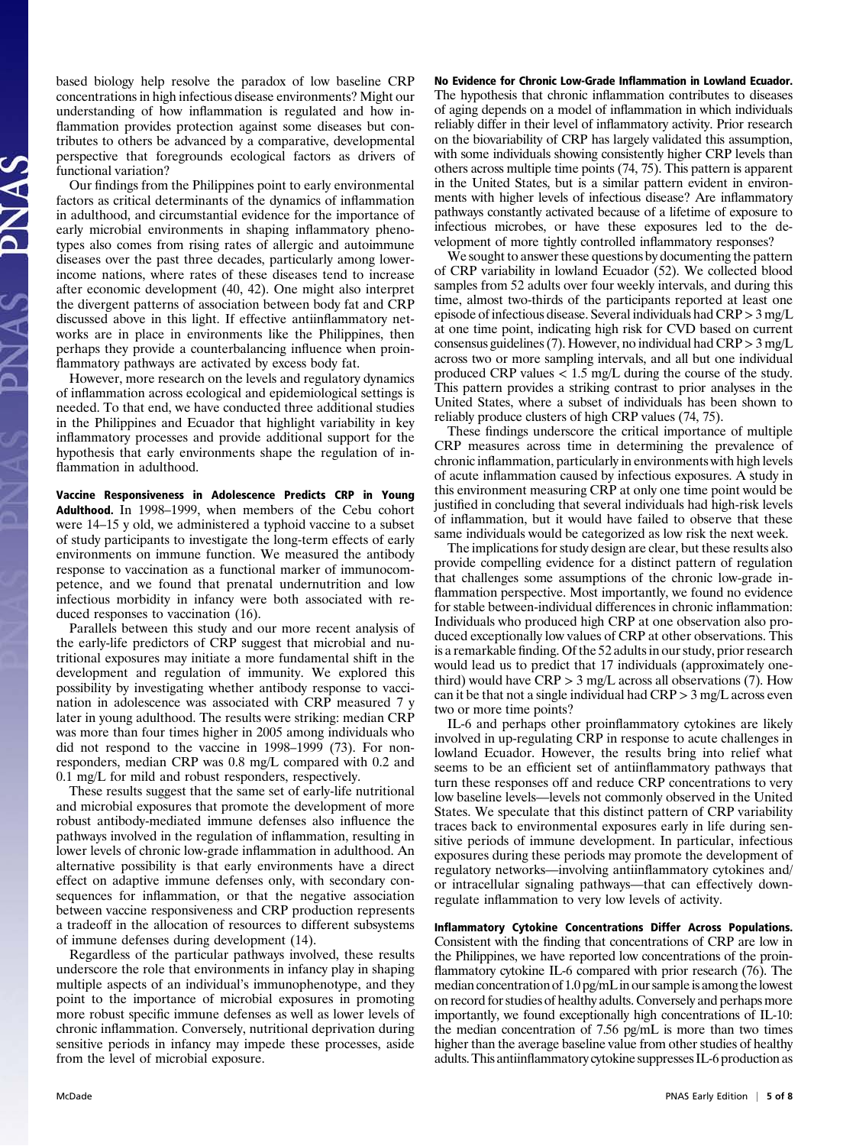based biology help resolve the paradox of low baseline CRP concentrations in high infectious disease environments? Might our understanding of how inflammation is regulated and how inflammation provides protection against some diseases but contributes to others be advanced by a comparative, developmental perspective that foregrounds ecological factors as drivers of functional variation?

Our findings from the Philippines point to early environmental factors as critical determinants of the dynamics of inflammation in adulthood, and circumstantial evidence for the importance of early microbial environments in shaping inflammatory phenotypes also comes from rising rates of allergic and autoimmune diseases over the past three decades, particularly among lowerincome nations, where rates of these diseases tend to increase after economic development (40, 42). One might also interpret the divergent patterns of association between body fat and CRP discussed above in this light. If effective antiinflammatory networks are in place in environments like the Philippines, then perhaps they provide a counterbalancing influence when proinflammatory pathways are activated by excess body fat.

However, more research on the levels and regulatory dynamics of inflammation across ecological and epidemiological settings is needed. To that end, we have conducted three additional studies in the Philippines and Ecuador that highlight variability in key inflammatory processes and provide additional support for the hypothesis that early environments shape the regulation of inflammation in adulthood.

Vaccine Responsiveness in Adolescence Predicts CRP in Young Adulthood. In 1998–1999, when members of the Cebu cohort were 14–15 y old, we administered a typhoid vaccine to a subset of study participants to investigate the long-term effects of early environments on immune function. We measured the antibody response to vaccination as a functional marker of immunocompetence, and we found that prenatal undernutrition and low infectious morbidity in infancy were both associated with reduced responses to vaccination (16).

Parallels between this study and our more recent analysis of the early-life predictors of CRP suggest that microbial and nutritional exposures may initiate a more fundamental shift in the development and regulation of immunity. We explored this possibility by investigating whether antibody response to vaccination in adolescence was associated with CRP measured 7 y later in young adulthood. The results were striking: median CRP was more than four times higher in 2005 among individuals who did not respond to the vaccine in 1998–1999 (73). For nonresponders, median CRP was 0.8 mg/L compared with 0.2 and 0.1 mg/L for mild and robust responders, respectively.

These results suggest that the same set of early-life nutritional and microbial exposures that promote the development of more robust antibody-mediated immune defenses also influence the pathways involved in the regulation of inflammation, resulting in lower levels of chronic low-grade inflammation in adulthood. An alternative possibility is that early environments have a direct effect on adaptive immune defenses only, with secondary consequences for inflammation, or that the negative association between vaccine responsiveness and CRP production represents a tradeoff in the allocation of resources to different subsystems of immune defenses during development (14).

Regardless of the particular pathways involved, these results underscore the role that environments in infancy play in shaping multiple aspects of an individual's immunophenotype, and they point to the importance of microbial exposures in promoting more robust specific immune defenses as well as lower levels of chronic inflammation. Conversely, nutritional deprivation during sensitive periods in infancy may impede these processes, aside from the level of microbial exposure.

No Evidence for Chronic Low-Grade Inflammation in Lowland Ecuador. The hypothesis that chronic inflammation contributes to diseases of aging depends on a model of inflammation in which individuals reliably differ in their level of inflammatory activity. Prior research on the biovariability of CRP has largely validated this assumption, with some individuals showing consistently higher CRP levels than others across multiple time points (74, 75). This pattern is apparent in the United States, but is a similar pattern evident in environments with higher levels of infectious disease? Are inflammatory pathways constantly activated because of a lifetime of exposure to infectious microbes, or have these exposures led to the development of more tightly controlled inflammatory responses?

We sought to answer these questions by documenting the pattern of CRP variability in lowland Ecuador (52). We collected blood samples from 52 adults over four weekly intervals, and during this time, almost two-thirds of the participants reported at least one episode of infectious disease. Several individuals had CRP> 3 mg/L at one time point, indicating high risk for CVD based on current consensus guidelines (7). However, no individual had CRP > 3 mg/L across two or more sampling intervals, and all but one individual produced CRP values < 1.5 mg/L during the course of the study. This pattern provides a striking contrast to prior analyses in the United States, where a subset of individuals has been shown to reliably produce clusters of high CRP values (74, 75).

These findings underscore the critical importance of multiple CRP measures across time in determining the prevalence of chronic inflammation, particularly in environments with high levels of acute inflammation caused by infectious exposures. A study in this environment measuring CRP at only one time point would be justified in concluding that several individuals had high-risk levels of inflammation, but it would have failed to observe that these same individuals would be categorized as low risk the next week.

The implications for study design are clear, but these results also provide compelling evidence for a distinct pattern of regulation that challenges some assumptions of the chronic low-grade inflammation perspective. Most importantly, we found no evidence for stable between-individual differences in chronic inflammation: Individuals who produced high CRP at one observation also produced exceptionally low values of CRP at other observations. This is a remarkable finding. Of the 52 adults in our study, prior research would lead us to predict that 17 individuals (approximately onethird) would have  $CRP > 3$  mg/L across all observations (7). How can it be that not a single individual had  $CRP > 3$  mg/L across even two or more time points?

IL-6 and perhaps other proinflammatory cytokines are likely involved in up-regulating CRP in response to acute challenges in lowland Ecuador. However, the results bring into relief what seems to be an efficient set of antiinflammatory pathways that turn these responses off and reduce CRP concentrations to very low baseline levels—levels not commonly observed in the United States. We speculate that this distinct pattern of CRP variability traces back to environmental exposures early in life during sensitive periods of immune development. In particular, infectious exposures during these periods may promote the development of regulatory networks—involving antiinflammatory cytokines and/ or intracellular signaling pathways—that can effectively downregulate inflammation to very low levels of activity.

Inflammatory Cytokine Concentrations Differ Across Populations. Consistent with the finding that concentrations of CRP are low in the Philippines, we have reported low concentrations of the proinflammatory cytokine IL-6 compared with prior research (76). The median concentration of 1.0 pg/mL in our sample is among the lowest on record for studies of healthy adults. Conversely and perhaps more importantly, we found exceptionally high concentrations of IL-10: the median concentration of 7.56 pg/mL is more than two times higher than the average baseline value from other studies of healthy adults. This antiinflammatory cytokine suppresses IL-6 production as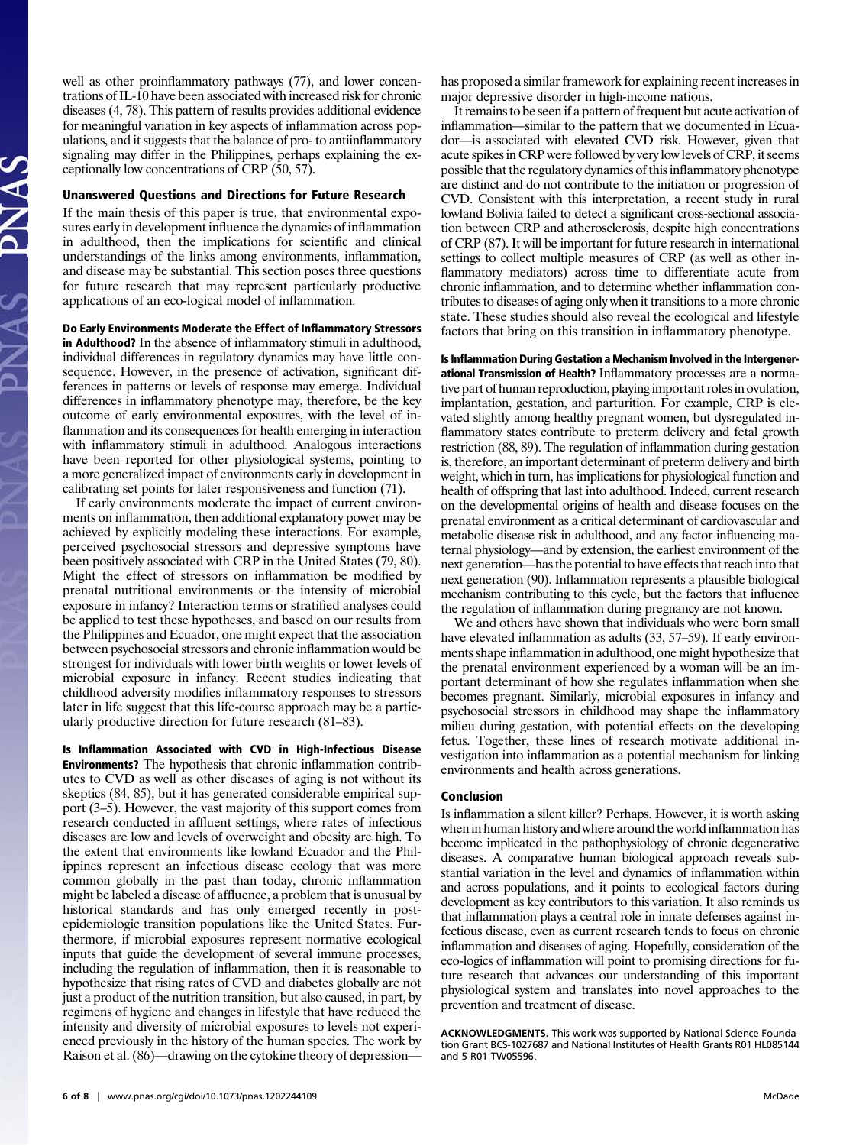well as other proinflammatory pathways (77), and lower concentrations of IL-10 have been associated with increased risk for chronic diseases (4, 78). This pattern of results provides additional evidence for meaningful variation in key aspects of inflammation across populations, and it suggests that the balance of pro- to antiinflammatory signaling may differ in the Philippines, perhaps explaining the exceptionally low concentrations of CRP (50, 57).

## Unanswered Questions and Directions for Future Research

If the main thesis of this paper is true, that environmental exposures early in development influence the dynamics of inflammation in adulthood, then the implications for scientific and clinical understandings of the links among environments, inflammation, and disease may be substantial. This section poses three questions for future research that may represent particularly productive applications of an eco-logical model of inflammation.

### Do Early Environments Moderate the Effect of Inflammatory Stressors

in Adulthood? In the absence of inflammatory stimuli in adulthood, individual differences in regulatory dynamics may have little consequence. However, in the presence of activation, significant differences in patterns or levels of response may emerge. Individual differences in inflammatory phenotype may, therefore, be the key outcome of early environmental exposures, with the level of inflammation and its consequences for health emerging in interaction with inflammatory stimuli in adulthood. Analogous interactions have been reported for other physiological systems, pointing to a more generalized impact of environments early in development in calibrating set points for later responsiveness and function (71).

If early environments moderate the impact of current environments on inflammation, then additional explanatory power may be achieved by explicitly modeling these interactions. For example, perceived psychosocial stressors and depressive symptoms have been positively associated with CRP in the United States (79, 80). Might the effect of stressors on inflammation be modified by prenatal nutritional environments or the intensity of microbial exposure in infancy? Interaction terms or stratified analyses could be applied to test these hypotheses, and based on our results from the Philippines and Ecuador, one might expect that the association between psychosocial stressors and chronic inflammation would be strongest for individuals with lower birth weights or lower levels of microbial exposure in infancy. Recent studies indicating that childhood adversity modifies inflammatory responses to stressors later in life suggest that this life-course approach may be a particularly productive direction for future research (81–83).

Is Inflammation Associated with CVD in High-Infectious Disease Environments? The hypothesis that chronic inflammation contributes to CVD as well as other diseases of aging is not without its skeptics (84, 85), but it has generated considerable empirical support (3–5). However, the vast majority of this support comes from research conducted in affluent settings, where rates of infectious diseases are low and levels of overweight and obesity are high. To the extent that environments like lowland Ecuador and the Philippines represent an infectious disease ecology that was more common globally in the past than today, chronic inflammation might be labeled a disease of affluence, a problem that is unusual by historical standards and has only emerged recently in postepidemiologic transition populations like the United States. Furthermore, if microbial exposures represent normative ecological inputs that guide the development of several immune processes, including the regulation of inflammation, then it is reasonable to hypothesize that rising rates of CVD and diabetes globally are not just a product of the nutrition transition, but also caused, in part, by regimens of hygiene and changes in lifestyle that have reduced the intensity and diversity of microbial exposures to levels not experienced previously in the history of the human species. The work by Raison et al. (86)—drawing on the cytokine theory of depressionhas proposed a similar framework for explaining recent increases in major depressive disorder in high-income nations.

It remains to be seen if a pattern of frequent but acute activation of inflammation—similar to the pattern that we documented in Ecuador—is associated with elevated CVD risk. However, given that acute spikes in CRP were followed by very low levels of CRP, it seems possible that the regulatory dynamics of this inflammatory phenotype are distinct and do not contribute to the initiation or progression of CVD. Consistent with this interpretation, a recent study in rural lowland Bolivia failed to detect a significant cross-sectional association between CRP and atherosclerosis, despite high concentrations of CRP (87). It will be important for future research in international settings to collect multiple measures of CRP (as well as other inflammatory mediators) across time to differentiate acute from chronic inflammation, and to determine whether inflammation contributes to diseases of aging only when it transitions to a more chronic state. These studies should also reveal the ecological and lifestyle factors that bring on this transition in inflammatory phenotype.

Is Inflammation During Gestation a Mechanism Involved in the Intergenerational Transmission of Health? Inflammatory processes are a normative part of human reproduction, playing important roles in ovulation, implantation, gestation, and parturition. For example, CRP is elevated slightly among healthy pregnant women, but dysregulated inflammatory states contribute to preterm delivery and fetal growth restriction (88, 89). The regulation of inflammation during gestation is, therefore, an important determinant of preterm delivery and birth weight, which in turn, has implications for physiological function and health of offspring that last into adulthood. Indeed, current research on the developmental origins of health and disease focuses on the prenatal environment as a critical determinant of cardiovascular and metabolic disease risk in adulthood, and any factor influencing maternal physiology—and by extension, the earliest environment of the next generation—has the potential to have effects that reach into that next generation (90). Inflammation represents a plausible biological mechanism contributing to this cycle, but the factors that influence the regulation of inflammation during pregnancy are not known.

We and others have shown that individuals who were born small have elevated inflammation as adults (33, 57–59). If early environments shape inflammation in adulthood, one might hypothesize that the prenatal environment experienced by a woman will be an important determinant of how she regulates inflammation when she becomes pregnant. Similarly, microbial exposures in infancy and psychosocial stressors in childhood may shape the inflammatory milieu during gestation, with potential effects on the developing fetus. Together, these lines of research motivate additional investigation into inflammation as a potential mechanism for linking environments and health across generations.

#### Conclusion

Is inflammation a silent killer? Perhaps. However, it is worth asking when in human history and where around the world inflammation has become implicated in the pathophysiology of chronic degenerative diseases. A comparative human biological approach reveals substantial variation in the level and dynamics of inflammation within and across populations, and it points to ecological factors during development as key contributors to this variation. It also reminds us that inflammation plays a central role in innate defenses against infectious disease, even as current research tends to focus on chronic inflammation and diseases of aging. Hopefully, consideration of the eco-logics of inflammation will point to promising directions for future research that advances our understanding of this important physiological system and translates into novel approaches to the prevention and treatment of disease.

ACKNOWLEDGMENTS. This work was supported by National Science Foundation Grant BCS-1027687 and National Institutes of Health Grants R01 HL085144 and 5 R01 TW05596.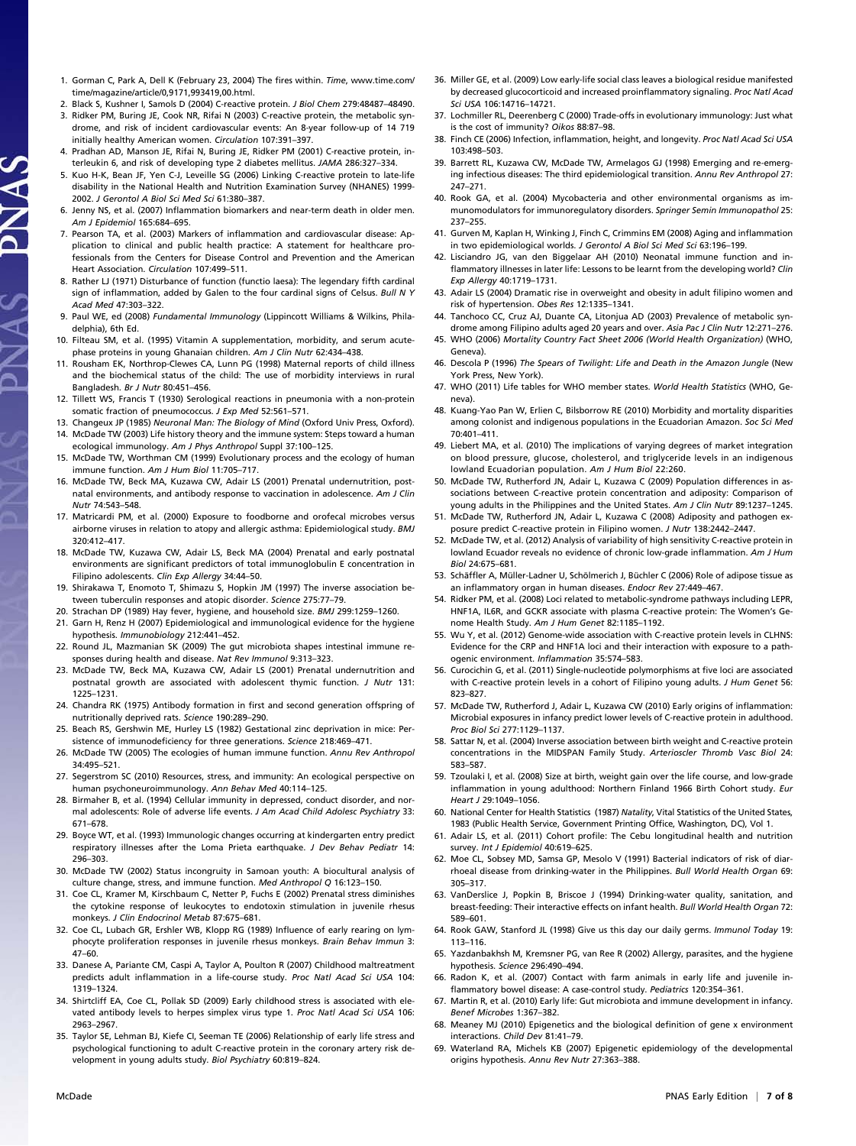- 1. Gorman C, Park A, Dell K (February 23, 2004) The fires within. Time, [www.time.com/](http://www.time.com/time/magazine/article/0,9171,993419,00.html) [time/magazine/article/0,9171,993419,00.html.](http://www.time.com/time/magazine/article/0,9171,993419,00.html)
- 2. Black S, Kushner I, Samols D (2004) C-reactive protein. J Biol Chem 279:48487–48490.
- 3. Ridker PM, Buring JE, Cook NR, Rifai N (2003) C-reactive protein, the metabolic syndrome, and risk of incident cardiovascular events: An 8-year follow-up of 14 719 initially healthy American women. Circulation 107:391–397.
- 4. Pradhan AD, Manson JE, Rifai N, Buring JE, Ridker PM (2001) C-reactive protein, interleukin 6, and risk of developing type 2 diabetes mellitus. JAMA 286:327–334.
- 5. Kuo H-K, Bean JF, Yen C-J, Leveille SG (2006) Linking C-reactive protein to late-life disability in the National Health and Nutrition Examination Survey (NHANES) 1999- 2002. J Gerontol A Biol Sci Med Sci 61:380–387.
- 6. Jenny NS, et al. (2007) Inflammation biomarkers and near-term death in older men. Am J Epidemiol 165:684–695.
- 7. Pearson TA, et al. (2003) Markers of inflammation and cardiovascular disease: Application to clinical and public health practice: A statement for healthcare professionals from the Centers for Disease Control and Prevention and the American Heart Association. Circulation 107:499–511.
- 8. Rather LJ (1971) Disturbance of function (functio laesa): The legendary fifth cardinal sign of inflammation, added by Galen to the four cardinal signs of Celsus. Bull N Y Acad Med 47:303–322.
- 9. Paul WE, ed (2008) Fundamental Immunology (Lippincott Williams & Wilkins, Philadelphia), 6th Ed.
- 10. Filteau SM, et al. (1995) Vitamin A supplementation, morbidity, and serum acutephase proteins in young Ghanaian children. Am J Clin Nutr 62:434–438.
- 11. Rousham EK, Northrop-Clewes CA, Lunn PG (1998) Maternal reports of child illness and the biochemical status of the child: The use of morbidity interviews in rural Bangladesh. Br J Nutr 80:451–456.
- 12. Tillett WS, Francis T (1930) Serological reactions in pneumonia with a non-protein somatic fraction of pneumococcus. J Exp Med 52:561-571.
- 13. Changeux JP (1985) Neuronal Man: The Biology of Mind (Oxford Univ Press, Oxford). 14. McDade TW (2003) Life history theory and the immune system: Steps toward a human
- ecological immunology. Am J Phys Anthropol Suppl 37:100–125.
- 15. McDade TW, Worthman CM (1999) Evolutionary process and the ecology of human immune function. Am J Hum Biol 11:705–717.
- 16. McDade TW, Beck MA, Kuzawa CW, Adair LS (2001) Prenatal undernutrition, postnatal environments, and antibody response to vaccination in adolescence. Am J Clin Nutr 74:543–548.
- 17. Matricardi PM, et al. (2000) Exposure to foodborne and orofecal microbes versus airborne viruses in relation to atopy and allergic asthma: Epidemiological study. BMJ 320:412–417.
- 18. McDade TW, Kuzawa CW, Adair LS, Beck MA (2004) Prenatal and early postnatal environments are significant predictors of total immunoglobulin E concentration in Filipino adolescents. Clin Exp Allergy 34:44–50.
- 19. Shirakawa T, Enomoto T, Shimazu S, Hopkin JM (1997) The inverse association between tuberculin responses and atopic disorder. Science 275:77–79.
- 20. Strachan DP (1989) Hay fever, hygiene, and household size. BMJ 299:1259–1260.
- 21. Garn H, Renz H (2007) Epidemiological and immunological evidence for the hygiene hypothesis. Immunobiology 212:441–452.
- 22. Round JL, Mazmanian SK (2009) The gut microbiota shapes intestinal immune responses during health and disease. Nat Rev Immunol 9:313–323.
- 23. McDade TW, Beck MA, Kuzawa CW, Adair LS (2001) Prenatal undernutrition and postnatal growth are associated with adolescent thymic function. J Nutr 131: 1225–1231.
- 24. Chandra RK (1975) Antibody formation in first and second generation offspring of nutritionally deprived rats. Science 190:289–290.
- 25. Beach RS, Gershwin ME, Hurley LS (1982) Gestational zinc deprivation in mice: Persistence of immunodeficiency for three generations. Science 218:469–471.
- 26. McDade TW (2005) The ecologies of human immune function. Annu Rev Anthropol 34:495–521.
- 27. Segerstrom SC (2010) Resources, stress, and immunity: An ecological perspective on human psychoneuroimmunology. Ann Behav Med 40:114–125.
- 28. Birmaher B, et al. (1994) Cellular immunity in depressed, conduct disorder, and normal adolescents: Role of adverse life events. J Am Acad Child Adolesc Psychiatry 33: 671–678.
- 29. Boyce WT, et al. (1993) Immunologic changes occurring at kindergarten entry predict respiratory illnesses after the Loma Prieta earthquake. J Dev Behav Pediatr 14: 296–303.
- 30. McDade TW (2002) Status incongruity in Samoan youth: A biocultural analysis of culture change, stress, and immune function. Med Anthropol Q 16:123–150.
- 31. Coe CL, Kramer M, Kirschbaum C, Netter P, Fuchs E (2002) Prenatal stress diminishes the cytokine response of leukocytes to endotoxin stimulation in juvenile rhesus monkeys. J Clin Endocrinol Metab 87:675–681.
- 32. Coe CL, Lubach GR, Ershler WB, Klopp RG (1989) Influence of early rearing on lymphocyte proliferation responses in juvenile rhesus monkeys. Brain Behav Immun 3: 47–60.
- 33. Danese A, Pariante CM, Caspi A, Taylor A, Poulton R (2007) Childhood maltreatment predicts adult inflammation in a life-course study. Proc Natl Acad Sci USA 104: 1319–1324.
- 34. Shirtcliff EA, Coe CL, Pollak SD (2009) Early childhood stress is associated with elevated antibody levels to herpes simplex virus type 1. Proc Natl Acad Sci USA 106: 2963–2967.
- 35. Taylor SE, Lehman BJ, Kiefe CI, Seeman TE (2006) Relationship of early life stress and psychological functioning to adult C-reactive protein in the coronary artery risk development in young adults study. Biol Psychiatry 60:819–824.
- 36. Miller GE, et al. (2009) Low early-life social class leaves a biological residue manifested by decreased glucocorticoid and increased proinflammatory signaling. Proc Natl Acad Sci USA 106:14716–14721.
- 37. Lochmiller RL, Deerenberg C (2000) Trade-offs in evolutionary immunology: Just what is the cost of immunity? Oikos 88:87–98.
- 38. Finch CE (2006) Infection, inflammation, height, and longevity. Proc Natl Acad Sci USA 103:498–503.
- 39. Barrett RL, Kuzawa CW, McDade TW, Armelagos GJ (1998) Emerging and re-emerging infectious diseases: The third epidemiological transition. Annu Rev Anthropol 27: 247–271.
- 40. Rook GA, et al. (2004) Mycobacteria and other environmental organisms as immunomodulators for immunoregulatory disorders. Springer Semin Immunopathol 25: 237–255.
- 41. Gurven M, Kaplan H, Winking J, Finch C, Crimmins EM (2008) Aging and inflammation in two epidemiological worlds. J Gerontol A Biol Sci Med Sci 63:196–199.
- 42. Lisciandro JG, van den Biggelaar AH (2010) Neonatal immune function and inflammatory illnesses in later life: Lessons to be learnt from the developing world? Clin Exp Allergy 40:1719–1731.
- 43. Adair LS (2004) Dramatic rise in overweight and obesity in adult filipino women and risk of hypertension. Obes Res 12:1335–1341.
- 44. Tanchoco CC, Cruz AJ, Duante CA, Litonjua AD (2003) Prevalence of metabolic syndrome among Filipino adults aged 20 years and over. Asia Pac J Clin Nutr 12:271–276.
- 45. WHO (2006) Mortality Country Fact Sheet 2006 (World Health Organization) (WHO, Geneva).
- 46. Descola P (1996) The Spears of Twilight: Life and Death in the Amazon Jungle (New York Press, New York).
- 47. WHO (2011) Life tables for WHO member states. World Health Statistics (WHO, Geneva).
- 48. Kuang-Yao Pan W, Erlien C, Bilsborrow RE (2010) Morbidity and mortality disparities among colonist and indigenous populations in the Ecuadorian Amazon. Soc Sci Med 70:401–411.
- 49. Liebert MA, et al. (2010) The implications of varying degrees of market integration on blood pressure, glucose, cholesterol, and triglyceride levels in an indigenous lowland Ecuadorian population. Am J Hum Biol 22:260.
- 50. McDade TW, Rutherford JN, Adair L, Kuzawa C (2009) Population differences in associations between C-reactive protein concentration and adiposity: Comparison of young adults in the Philippines and the United States. Am J Clin Nutr 89:1237–1245.
- 51. McDade TW, Rutherford JN, Adair L, Kuzawa C (2008) Adiposity and pathogen exposure predict C-reactive protein in Filipino women. J Nutr 138:2442–2447.
- 52. McDade TW, et al. (2012) Analysis of variability of high sensitivity C-reactive protein in lowland Ecuador reveals no evidence of chronic low-grade inflammation. Am J Hum Biol 24:675–681.
- 53. Schäffler A, Müller-Ladner U, Schölmerich J, Büchler C (2006) Role of adipose tissue as an inflammatory organ in human diseases. Endocr Rev 27:449–467.
- 54. Ridker PM, et al. (2008) Loci related to metabolic-syndrome pathways including LEPR, HNF1A, IL6R, and GCKR associate with plasma C-reactive protein: The Women's Genome Health Study. Am J Hum Genet 82:1185–1192.
- 55. Wu Y, et al. (2012) Genome-wide association with C-reactive protein levels in CLHNS: Evidence for the CRP and HNF1A loci and their interaction with exposure to a pathogenic environment. Inflammation 35:574–583.
- 56. Curocichin G, et al. (2011) Single-nucleotide polymorphisms at five loci are associated with C-reactive protein levels in a cohort of Filipino young adults. J Hum Genet 56: 823–827.
- 57. McDade TW, Rutherford J, Adair L, Kuzawa CW (2010) Early origins of inflammation: Microbial exposures in infancy predict lower levels of C-reactive protein in adulthood. Proc Biol Sci 277:1129–1137.
- 58. Sattar N, et al. (2004) Inverse association between birth weight and C-reactive protein concentrations in the MIDSPAN Family Study. Arterioscler Thromb Vasc Biol 24: 583–587.
- 59. Tzoulaki I, et al. (2008) Size at birth, weight gain over the life course, and low-grade inflammation in young adulthood: Northern Finland 1966 Birth Cohort study. Eur Heart J 29:1049–1056.
- 60. National Center for Health Statistics (1987) Natality, Vital Statistics of the United States, 1983 (Public Health Service, Government Printing Office, Washington, DC), Vol 1.
- 61. Adair LS, et al. (2011) Cohort profile: The Cebu longitudinal health and nutrition survey. Int J Epidemiol 40:619-625.
- 62. Moe CL, Sobsey MD, Samsa GP, Mesolo V (1991) Bacterial indicators of risk of diarrhoeal disease from drinking-water in the Philippines. Bull World Health Organ 69: 305–317.
- 63. VanDerslice J, Popkin B, Briscoe J (1994) Drinking-water quality, sanitation, and breast-feeding: Their interactive effects on infant health. Bull World Health Organ 72: 589–601.
- 64. Rook GAW, Stanford JL (1998) Give us this day our daily germs. Immunol Today 19: 113–116.
- 65. Yazdanbakhsh M, Kremsner PG, van Ree R (2002) Allergy, parasites, and the hygiene hypothesis. Science 296:490–494.
- 66. Radon K, et al. (2007) Contact with farm animals in early life and juvenile inflammatory bowel disease: A case-control study. Pediatrics 120:354–361.
- 67. Martin R, et al. (2010) Early life: Gut microbiota and immune development in infancy. Benef Microbes 1:367–382.
- 68. Meaney MJ (2010) Epigenetics and the biological definition of gene x environment interactions. Child Dev 81:41–79.
- 69. Waterland RA, Michels KB (2007) Epigenetic epidemiology of the developmental origins hypothesis. Annu Rev Nutr 27:363–388.